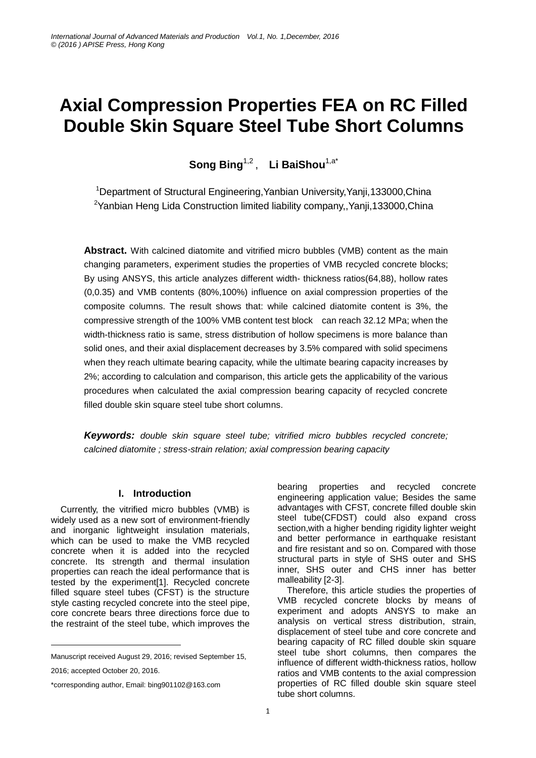# **Axial Compression Properties FEA on RC Filled Double Skin Square Steel Tube Short Columns**

**Song Bing**1,2 , **Li BaiShou**1,a\*

<sup>1</sup>Department of Structural Engineering, Yanbian University, Yanji, 133000, China <sup>2</sup>Yanbian Heng Lida Construction limited liability company, Yanii,133000, China

**Abstract.** With calcined diatomite and vitrified micro bubbles (VMB) content as the main changing parameters, experiment studies the properties of VMB recycled concrete blocks; By using ANSYS, this article [analyzes](file:///D:/Dict/6.3.69.5012/resultui/frame/javascript:void(0);) different width- thickness ratios(64,88), hollow rates (0,0.35) and VMB contents (80%,100%) influence on [axial](file:///D:/Dict/6.3.69.5012/resultui/frame/javascript:void(0);) [compression](file:///D:/Dict/6.3.69.5012/resultui/frame/javascript:void(0);) properties of the composite columns. The result shows that: while calcined diatomite content is 3%, the compressive strength of the 100% VMB content test block can reach 32.12 MPa; when the width-thickness ratio is same, stress distribution of hollow specimens is more balance than solid ones, and their axial displacement decreases by 3.5% compared with solid specimens when they reach ultimate bearing capacity, while the ultimate bearing capacity increases by 2%; according to calculation and comparison, this [article](../../../../Documents%20and%20Settings/Administrator/Local%20Settings/Application%20Data/Yodao/DeskDict/frame/20151215200506/javascript:void(0);) gets the applicability of the various procedures when calculated the axial compression bearing capacity of recycled concrete filled double skin square steel tube short columns.

*Keywords: double skin square steel tube; vitrified micro bubbles recycled concrete; calcined diatomite ; stress-strain relation; axial compression bearing capacity*

## **I. Introduction**

Currently, the vitrified micro bubbles (VMB) is widely used as a new sort of environment-friendly and inorganic lightweight insulation materials, which can be used to make the VMB recycled concrete when it is added into the recycled concrete. Its strength and thermal insulation properties can reach the ideal performance that is tested by the experiment[1]. Recycled concrete filled square steel tubes (CFST) is the structure style casting recycled concrete into the steel pipe, core concrete bears three directions force due to the restraint of the steel tube, which improves the

Manuscript received August 29, 2016; revised September 15, 2016; accepted October 20, 2016.

\*corresponding author, Email: bing901102@163.com

-

bearing properties and recycled concrete engineering application value; Besides the same advantages with CFST, concrete filled double skin steel tube(CFDST) could also expand cross section,with a higher bending rigidity lighter weight and better performance in earthquake resistant and fire resistant and so on. Compared with those structural parts in style of SHS outer and SHS inner, SHS outer and CHS inner has better malleability [2-3].

Therefore, this article studies the properties of VMB recycled concrete blocks by means of experiment and adopts ANSYS to make an analysis on vertical stress distribution, strain, displacement of steel tube and core concrete and bearing capacity of RC filled double skin square steel tube short columns, then compares the influence of different width-thickness ratios, hollow ratios and VMB contents to the axial compression properties of RC filled double skin square steel tube short columns.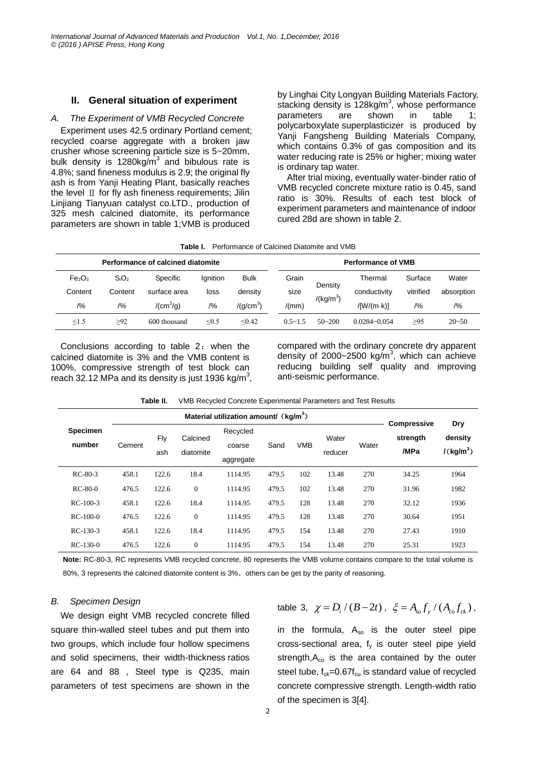#### **II. General situation of experiment**

### *A. The Experiment of VMB Recycled Concrete*

Experiment uses 42.5 ordinary Portland cement; recycled coarse aggregate with a broken jaw crusher whose screening particle size is 5~20mm, bulk density is 1280kg/ $\overline{m}^3$  and bibulous rate is 4.8%; sand fineness modulus is 2.9; the original fly ash is from Yanji Heating Plant, basically reaches the level  $\text{II}$  for fly ash fineness requirements; Jilin Linjiang Tianyuan catalyst co.LTD., production of 325 mesh calcined diatomite, its performance parameters are shown in table 1;VMB is produced

by Linghai City Longyan Building Materials Factory, stacking density is 128kg/m<sup>3</sup>, whose performance parameters are shown in table 1; [polycarboxylate](file:///D:/Dict/6.3.69.5012/resultui/frame/javascript:void(0);) [superplasticizer](file:///D:/Dict/6.3.69.5012/resultui/frame/javascript:void(0);) is produced by Yanji Fangsheng Building Materials Company, which contains 0.3% of gas composition and its water reducing rate is 25% or higher; mixing water is ordinary tap water.

After trial mixing, eventually water-binder ratio of VMB recycled concrete mixture ratio is 0.45, sand ratio is 30%. Results of each test block of experiment parameters and maintenance of indoor cured 28d are shown in table 2.

| <b>Table I.</b> Performance of Calcined Diatomite and VMB |
|-----------------------------------------------------------|
|-----------------------------------------------------------|

| Performance of calcined diatomite |          |                       |                  |                       |  |             |                        | <b>Performance of VMB</b> |           |            |
|-----------------------------------|----------|-----------------------|------------------|-----------------------|--|-------------|------------------------|---------------------------|-----------|------------|
| Fe <sub>2</sub> O <sub>3</sub>    | $S_iO_2$ | Specific              | <b>I</b> anition | <b>Bulk</b>           |  | Grain       | Density<br>$/(kg/m^3)$ | Thermal                   | Surface   | Water      |
| Content                           | Content  | surface area          | loss             | density               |  | size        |                        | conductivity              | vitrified | absorption |
| /9/6                              | /9/6     | /(cm <sup>2</sup> /q) | /9/0             | /(q/cm <sup>3</sup> ) |  | /(mm)       |                        | $/[W/(m \cdot k)]$        | /9/6      | /9/6       |
| $\leq$ 1.5                        | >92      | 600 thousand          | $\leq 0.5$       | < 0.42                |  | $0.5 - 1.5$ | $50 - 200$             | $0.0284 - 0.054$          | $\geq$ 95 | $20 - 50$  |

Conclusions according to table 2: when the calcined diatomite is 3% and the VMB content is 100%, compressive strength of test block can reach 32.12 MPa and its density is just 1936 kg/m<sup>3</sup>, compared with the ordinary concrete dry apparent density of 2000~2500 kg/ $m<sup>3</sup>$ , which can achieve reducing building self quality and improving anti-seismic performance.

|                           |        |            | <b>Compressive</b>    |                                 |       |            |                  |       |                  |                                         |
|---------------------------|--------|------------|-----------------------|---------------------------------|-------|------------|------------------|-------|------------------|-----------------------------------------|
| <b>Specimen</b><br>number | Cement | Fly<br>ash | Calcined<br>diatomite | Recycled<br>coarse<br>aggregate | Sand  | <b>VMB</b> | Water<br>reducer | Water | strength<br>/MPa | Dry<br>density<br>/(kg/m <sup>3</sup> ) |
| $RC-80-3$                 | 458.1  | 122.6      | 18.4                  | 1114.95                         | 479.5 | 102        | 13.48            | 270   | 34.25            | 1964                                    |
| $RC-80-0$                 | 476.5  | 122.6      | $\mathbf{0}$          | 1114.95                         | 479.5 | 102        | 13.48            | 270   | 31.96            | 1982                                    |
| $RC-100-3$                | 458.1  | 122.6      | 18.4                  | 1114.95                         | 479.5 | 128        | 13.48            | 270   | 32.12            | 1936                                    |
| $RC-100-0$                | 476.5  | 122.6      | $\mathbf{0}$          | 1114.95                         | 479.5 | 128        | 13.48            | 270   | 30.64            | 1951                                    |
| $RC-130-3$                | 458.1  | 122.6      | 18.4                  | 1114.95                         | 479.5 | 154        | 13.48            | 270   | 27.43            | 1910                                    |
| $RC-130-0$                | 476.5  | 122.6      | $\mathbf{0}$          | 1114.95                         | 479.5 | 154        | 13.48            | 270   | 25.31            | 1923                                    |

**Table II.** VMB Recycled Concrete Experimental Parameters and Test Results

**Note:** RC-80-3, RC represents VMB recycled concrete, 80 represents the VMB volume contains compare to the total volume is 80%, 3 represents the calcined diatomite content is 3%, others can be get by the parity of reasoning.

#### *B. Specimen Design*

We design eight VMB recycled concrete filled square thin-walled steel tubes and put them into two groups, which include four hollow specimens and solid specimens, their width-thickness ratios are 64 and 88 , Steel type is Q235, main parameters of test specimens are shown in the table 3,  $\chi = D_i / (B - 2t)$ ,  $\xi = A_{so} f_y / (A_{co} f_{ck})$ ,

in the formula,  $A_{so}$  is the outer steel pipe cross-sectional area,  $f_v$  is outer steel pipe yield strength, $A_{\rm co}$  is the area contained by the outer steel tube,  $f_{ck}=0.67f_{cu}$  is standard value of recycled concrete compressive strength. Length-width ratio of the specimen is 3[4].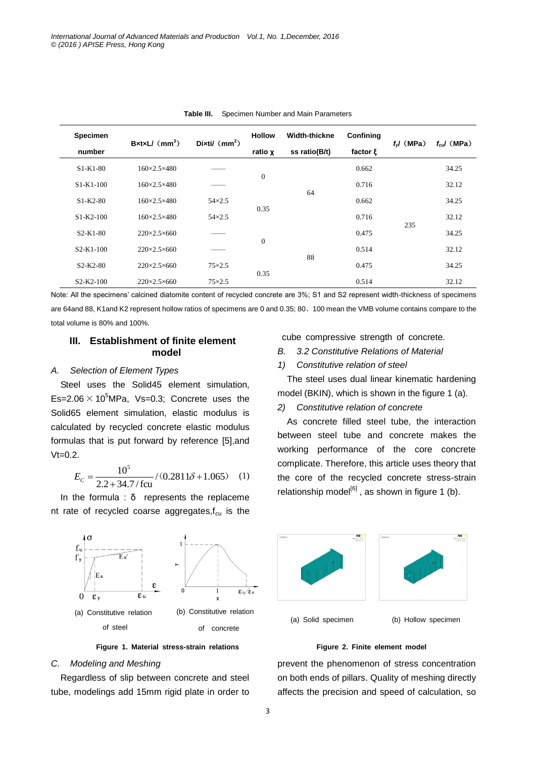| Specimen<br>number | $BxtxL/(mm^3)$              | Dixtil $(mm^2)$ | <b>Hollow</b><br>ratio x | <b>Width-thickne</b><br>ss ratio(B/t) | Confining<br>factor $\xi$ | $f$ $J$ (MPa) | $f_{cd}$ (MPa) |
|--------------------|-----------------------------|-----------------|--------------------------|---------------------------------------|---------------------------|---------------|----------------|
| $S1-K1-80$         | $160 \times 2.5 \times 480$ |                 |                          |                                       | 0.662                     | 235           | 34.25          |
| $S1-K1-100$        | $160 \times 2.5 \times 480$ |                 | $\theta$                 |                                       | 0.716                     |               | 32.12          |
| $S1-K2-80$         | $160 \times 2.5 \times 480$ | $54\times2.5$   |                          | 64                                    | 0.662                     |               | 34.25          |
| $S1-K2-100$        | $160 \times 2.5 \times 480$ | $54 \times 2.5$ | 0.35                     |                                       | 0.716                     |               | 32.12          |
| $S2-K1-80$         | $220 \times 2.5 \times 660$ |                 |                          |                                       | 0.475                     |               | 34.25          |
| $S2-K1-100$        | $220 \times 2.5 \times 660$ |                 | $\theta$                 |                                       | 0.514                     |               | 32.12          |
| $S2-K2-80$         | $220 \times 2.5 \times 660$ | $75\times2.5$   |                          | 88                                    | 0.475                     |               | 34.25          |
| $S2-K2-100$        | $220 \times 2.5 \times 660$ | $75\times2.5$   | 0.35                     |                                       | 0.514                     |               | 32.12          |

**Table III.** Specimen Number and Main Parameters

Note: All the specimens' calcined diatomite content of recycled concrete are 3%; S1 and S2 represent width-thickness of specimens are 64and 88, K1and K2 represent hollow ratios of specimens are 0 and 0.35; 80、100 mean the VMB volume contains compare to the total volume is 80% and 100%.

## **III. Establishment of finite element model**

## *A. Selection of Element Types*

Steel uses the Solid45 element simulation, Es=2.06  $\times$  10<sup>5</sup>MPa, Vs=0.3; Concrete uses the Solid65 element simulation, elastic modulus is calculated by recycled concrete elastic modulus formulas that is put forward by reference [5],and  $Vt=0.2$ .

$$
E_C = \frac{10^5}{2.2 + 34.7/\text{fcu}} / (0.2811\delta + 1.065) \quad (1)
$$

In the formula :  $\delta$  represents the replaceme nt rate of recycled coarse aggregates, $f_{cu}$  is the cube compressive strength of concrete.

- *B. 3.2 Constitutive Relations of Material*
- *1) Constitutive relation of steel*

The steel uses dual linear kinematic hardening model (BKIN), which is shown in the figure 1 (a).

## *2) Constitutive relation of concrete*

As concrete filled steel tube, the interaction between steel tube and concrete makes the working performance of the core concrete complicate. Therefore, this article uses theory that the core of the recycled concrete stress-strain relationship model<sup>[6]</sup>, as shown in figure 1 (b).



**Figure 1. Material stress-strain relations Figure 2. Finite element model**

### *C. Modeling and Meshing*

Regardless of slip between concrete and steel tube, modelings add 15mm rigid plate in order to





prevent the phenomenon of stress concentration on both ends of pillars. Quality of meshing directly affects the precision and speed of calculation, so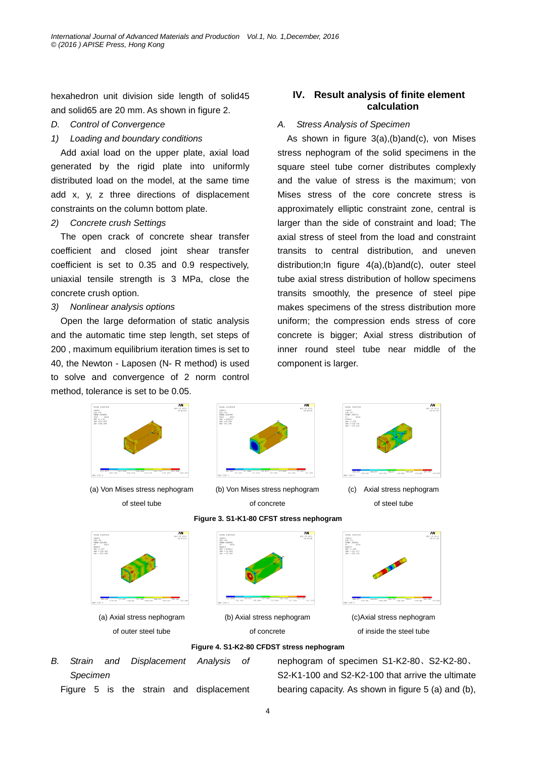hexahedron unit division side length of solid45 and solid65 are 20 mm. As shown in figure 2.

- *D. Control of Convergence*
- *1) Loading and boundary conditions*

Add axial load on the upper plate, axial load generated by the rigid plate into uniformly distributed load on the model, at the same time add x, y, z three directions of displacement constraints on the column bottom plate.

## *2) Concrete crush Settings*

The open crack of concrete shear transfer coefficient and closed joint shear transfer coefficient is set to 0.35 and 0.9 respectively, uniaxial tensile strength is 3 MPa, close the concrete crush option.

#### *3) Nonlinear analysis options*

Open the large deformation of static analysis and the automatic time step length, set steps of 200 , maximum equilibrium iteration times is set to 40, the Newton - Laposen (N- R method) is used to solve and convergence of 2 norm control method, tolerance is set to be 0.05.

## **IV. Result analysis of finite element calculation**

#### *A. Stress Analysis of Specimen*

As shown in figure 3(a),(b)and(c), von Mises stress nephogram of the solid specimens in the square steel tube corner distributes complexly and the value of stress is the maximum; von Mises stress of the core concrete stress is approximately elliptic constraint zone, central is larger than the side of constraint and load; The axial stress of steel from the load and constraint transits to central distribution, and uneven distribution;In figure 4(a),(b)and(c), outer steel tube axial stress distribution of hollow specimens transits smoothly, the presence of steel pipe makes specimens of the stress distribution more uniform; the compression ends stress of core concrete is bigger; Axial stress distribution of inner round steel tube near middle of the component is larger.



- **Figure 4. S1-K2-80 CFDST stress nephogram**
- *B. Strain and Displacement Analysis of Specimen*

Figure 5 is the strain and displacement

nephogram of specimen S1-K2-80、S2-K2-80、 S2-K1-100 and S2-K2-100 that arrive the ultimate bearing capacity. As shown in figure 5 (a) and (b),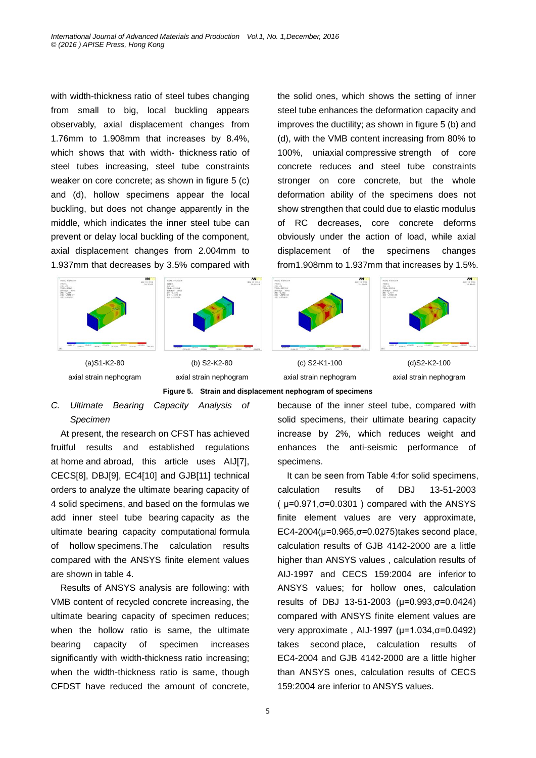with width-thickness ratio of steel tubes changing from small to big, local buckling appears observably, axial displacement changes from 1.76mm to 1.908mm that [increases](file:///D:/Dict/6.3.69.5012/resultui/frame/javascript:void(0);) by 8.4%, which shows that with width- thickness ratio of steel tubes increasing, steel tube constraints weaker on core concrete; as shown in figure 5 (c) and (d), hollow specimens appear the local buckling, but does not change apparently in the middle, which indicates the inner steel tube can prevent or delay local buckling of the component, axial displacement changes from 2.004mm to 1.937mm that decreases by 3.5% compared with





(a)S1-K2-80 axial strain nephogram

(b) S2-K2-80 axial strain nephogram

from1.908mm to 1.937mm that [increases](file:///D:/Dict/6.3.69.5012/resultui/frame/javascript:void(0);) by 1.5%. **ANST** FRE-1<br>198-27<br>198-37<br>198-4111314<br>2007 -2.012<br>2007 -.01011<br>2007 -.01011

AM 108 -23<br>1900-.10134<br>1910-0gw (AvG)<br>1960 -.6418-17<br>1960 -.104731<br>1960 -.104731

(c) S2-K1-100 axial strain nephogram

(d)S2-K2-100 axial strain nephogram

**Figure 5. Strain and displacement nephogram of specimens**

## *C. Ultimate Bearing Capacity Analysis of Specimen*

At present, the research on CFST has achieved fruitful results and established regulations [at](file:///D:/Users/Administrator/AppData/Local/Youdao/Dict/6.3.67.7016/resultui/frame/javascript:void(0);) [home](file:///D:/Users/Administrator/AppData/Local/Youdao/Dict/6.3.67.7016/resultui/frame/javascript:void(0);) [and](file:///D:/Users/Administrator/AppData/Local/Youdao/Dict/6.3.67.7016/resultui/frame/javascript:void(0);) [abroad,](file:///D:/Users/Administrator/AppData/Local/Youdao/Dict/6.3.67.7016/resultui/frame/javascript:void(0);) this article uses AIJ[7], CECS[8], DBJ[9], EC4[10] and GJB[11] technical orders to analyze the ultimate bearing capacity of 4 solid specimens, and based on the [formulas](file:///D:/Users/Administrator/AppData/Local/Youdao/Dict/6.3.67.7016/resultui/frame/javascript:void(0);) we add inner steel tube [bearing](file:///D:/Users/Administrator/AppData/Local/Youdao/Dict/6.3.67.7016/resultui/frame/javascript:void(0);) [capacity](file:///D:/Users/Administrator/AppData/Local/Youdao/Dict/6.3.67.7016/resultui/frame/javascript:void(0);) as the ultimate bearing capacity [computational](file:///D:/Users/Administrator/AppData/Local/Youdao/Dict/6.3.67.7016/resultui/frame/javascript:void(0);) [formula](file:///D:/Users/Administrator/AppData/Local/Youdao/Dict/6.3.67.7016/resultui/frame/javascript:void(0);) of hollow specimens.The calculation results compared with the ANSYS finite element values are shown in table 4.

Results of ANSYS analysis are following: with VMB content of recycled concrete increasing, the ultimate bearing capacity of specimen reduces; when the hollow ratio is same, the ultimate bearing capacity of specimen increases significantly with width-thickness ratio increasing; when the width-thickness ratio is same, though CFDST have reduced the amount of concrete,

5

because of the inner steel tube, compared with solid specimens, their ultimate bearing capacity increase by 2%, which reduces weight and enhances the anti-seismic performance of specimens.

the solid ones, which shows the setting of inner steel tube enhances the deformation capacity and improves the ductility; as shown in figure 5 (b) and (d), with the VMB content increasing from 80% to 100%, [uniaxial](file:///D:/Dict/6.3.69.5012/resultui/frame/javascript:void(0);) [compressive](file:///D:/Dict/6.3.69.5012/resultui/frame/javascript:void(0);) [strength](file:///D:/Dict/6.3.69.5012/resultui/frame/javascript:void(0);) of core concrete reduces and steel tube constraints stronger on core concrete, but the whole deformation ability of the specimens does not show strengthen that could due to elastic modulus of RC decreases, core concrete deforms obviously under the action of load, while axial displacement of the specimens changes

It can be seen from Table 4:for solid specimens, calculation results of DBJ 13-51-2003  $(\mu=0.971,\sigma=0.0301)$  compared with the ANSYS finite element values are very approximate, EC4-2004(µ=0.965,σ=0.0275[\)takes](file:///D:/Dict/6.3.69.5012/resultui/frame/javascript:void(0);) [second](file:///D:/Dict/6.3.69.5012/resultui/frame/javascript:void(0);) [place,](file:///D:/Dict/6.3.69.5012/resultui/frame/javascript:void(0);) calculation results of GJB 4142-2000 are a little higher than ANSYS values , calculation results of AIJ-1997 and CECS 159:2004 are [inferior](file:///D:/Dict/6.3.69.5012/resultui/frame/javascript:void(0);) [to](file:///D:/Dict/6.3.69.5012/resultui/frame/javascript:void(0);) ANSYS values; for hollow ones, calculation results of DBJ 13-51-2003 (µ=0.993,σ=0.0424) compared with ANSYS finite element values are very approximate , AIJ-1997 (µ=1.034,σ=0.0492) [takes](file:///D:/Dict/6.3.69.5012/resultui/frame/javascript:void(0);) [second](file:///D:/Dict/6.3.69.5012/resultui/frame/javascript:void(0);) [place,](file:///D:/Dict/6.3.69.5012/resultui/frame/javascript:void(0);) calculation results of EC4-2004 and GJB 4142-2000 are a little higher than ANSYS ones, calculation results of CECS 159:2004 are [inferior](file:///D:/Dict/6.3.69.5012/resultui/frame/javascript:void(0);) [to](file:///D:/Dict/6.3.69.5012/resultui/frame/javascript:void(0);) ANSYS values.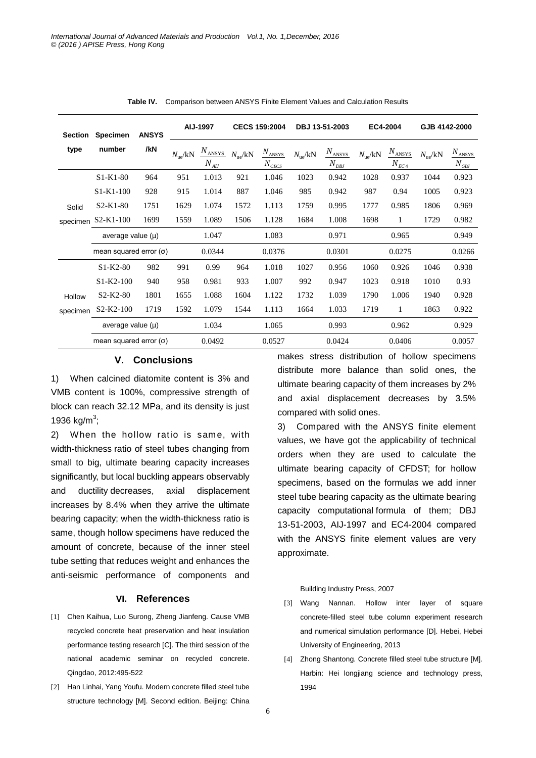| <b>Section</b> | <b>Specimen</b>               | <b>ANSYS</b> | AIJ-1997                  |                    | <b>CECS 159:2004</b>      |                                    | DBJ 13-51-2003            |                                   | EC4-2004                  |                              | GJB 4142-2000             |                                                                            |
|----------------|-------------------------------|--------------|---------------------------|--------------------|---------------------------|------------------------------------|---------------------------|-----------------------------------|---------------------------|------------------------------|---------------------------|----------------------------------------------------------------------------|
| type           | number                        | /kN          | $N_{\text{ue}}/\text{kN}$ | ANSYS<br>$N_{AII}$ | $N_{\text{ue}}/\text{kN}$ | $N_{ANSYS}$<br>$N_{\mathit{CECS}}$ | $N_{\text{ue}}/\text{kN}$ | $N_{ANSYS}$<br>$N_{\mathit{DBJ}}$ | $N_{\text{ue}}/\text{kN}$ | $N_{\rm ANSYS}$<br>$N_{EC4}$ | $N_{\text{ue}}/\text{kN}$ | $N_{\rm ANSYS}$<br>$N_{\mathcal{G}\!\underline{\smash[b]{B}}\!\mathit{J}}$ |
|                | $S1-K1-80$                    | 964          | 951                       | 1.013              | 921                       | 1.046                              | 1023                      | 0.942                             | 1028                      | 0.937                        | 1044                      | 0.923                                                                      |
|                | $S1 - K1 - 100$               | 928          | 915                       | 1.014              | 887                       | 1.046                              | 985                       | 0.942                             | 987                       | 0.94                         | 1005                      | 0.923                                                                      |
| Solid          | $S2-K1-80$                    | 1751         | 1629                      | 1.074              | 1572                      | 1.113                              | 1759                      | 0.995                             | 1777                      | 0.985                        | 1806                      | 0.969                                                                      |
| specimen       | $S2-K1-100$                   | 1699         | 1559                      | 1.089              | 1506                      | 1.128                              | 1684                      | 1.008                             | 1698                      | 1                            | 1729                      | 0.982                                                                      |
|                | average value $(\mu)$         |              |                           | 1.047              |                           | 1.083                              |                           | 0.971                             |                           | 0.965                        |                           | 0.949                                                                      |
|                | mean squared error $(\sigma)$ |              |                           | 0.0344             |                           | 0.0376                             |                           | 0.0301                            |                           | 0.0275                       |                           | 0.0266                                                                     |
|                | $S1-K2-80$                    | 982          | 991                       | 0.99               | 964                       | 1.018                              | 1027                      | 0.956                             | 1060                      | 0.926                        | 1046                      | 0.938                                                                      |
|                | $S1-K2-100$                   | 940          | 958                       | 0.981              | 933                       | 1.007                              | 992                       | 0.947                             | 1023                      | 0.918                        | 1010                      | 0.93                                                                       |
| Hollow         | $S2-K2-80$                    | 1801         | 1655                      | 1.088              | 1604                      | 1.122                              | 1732                      | 1.039                             | 1790                      | 1.006                        | 1940                      | 0.928                                                                      |
| specimen       | $S2-K2-100$                   | 1719         | 1592                      | 1.079              | 1544                      | 1.113                              | 1664                      | 1.033                             | 1719                      | 1                            | 1863                      | 0.922                                                                      |
|                | average value $(\mu)$         |              |                           | 1.034              |                           | 1.065                              |                           | 0.993                             |                           | 0.962                        |                           | 0.929                                                                      |
|                | mean squared error $(\sigma)$ |              |                           | 0.0492             |                           | 0.0527                             |                           | 0.0424                            |                           | 0.0406                       |                           | 0.0057                                                                     |

**Table IV.** Comparison between ANSYS Finite Element Values and Calculation Results

## **V. Conclusions**

1) When calcined diatomite content is 3% and VMB content is 100%, compressive strength of block can reach 32.12 MPa, and its density is just 1936 kg/m<sup>3</sup>;

2) When the hollow ratio is same, with width-thickness ratio of steel tubes changing from small to big, ultimate bearing capacity increases significantly, but local buckling appears observably and ductility decreases, axial displacement [increases](file:///D:/Dict/6.3.69.5012/resultui/frame/javascript:void(0);) by 8.4% when they arrive the ultimate bearing capacity; when the width-thickness ratio is same, though hollow specimens have reduced the amount of concrete, because of the inner steel tube setting that reduces weight and enhances the anti-seismic performance of components and

#### **VI. References**

- [1] Chen Kaihua, Luo Surong, Zheng Jianfeng. Cause VMB recycled concrete heat preservation and heat insulation performance testing research [C]. The third session of the national academic seminar on recycled concrete. Qingdao, 2012:495-522
- [2] Han Linhai, Yang Youfu. Modern concrete filled steel tube structure technology [M]. Second edition. Beijing: China

makes stress distribution of hollow specimens distribute more balance than solid ones, the ultimate bearing capacity of them increases by 2% and axial displacement decreases by 3.5% compared with solid ones.

3) Compared with the ANSYS finite element values, we have got the applicability of technical orders when they are used to calculate the ultimate bearing capacity of CFDST; for hollow specimens, based on the [formulas](file:///D:/Users/Administrator/AppData/Local/Youdao/Dict/6.3.67.7016/resultui/frame/javascript:void(0);) we add inner steel tube [bearing](file:///D:/Users/Administrator/AppData/Local/Youdao/Dict/6.3.67.7016/resultui/frame/javascript:void(0);) [capacity](file:///D:/Users/Administrator/AppData/Local/Youdao/Dict/6.3.67.7016/resultui/frame/javascript:void(0);) as the ultimate bearing capacity [computational](file:///D:/Users/Administrator/AppData/Local/Youdao/Dict/6.3.67.7016/resultui/frame/javascript:void(0);) [formula](file:///D:/Users/Administrator/AppData/Local/Youdao/Dict/6.3.67.7016/resultui/frame/javascript:void(0);) of them; DBJ 13-51-2003, AIJ-1997 and EC4-2004 compared with the ANSYS finite element values are very approximate.

#### Building Industry Press, 2007

- [3] Wang Nannan. Hollow inter layer of square concrete-filled steel tube column experiment research and numerical simulation performance [D]. Hebei, Hebei University of Engineering, 2013
- [4] Zhong Shantong. Concrete filled steel tube structure [M]. Harbin: Hei longjiang science and technology press, 1994